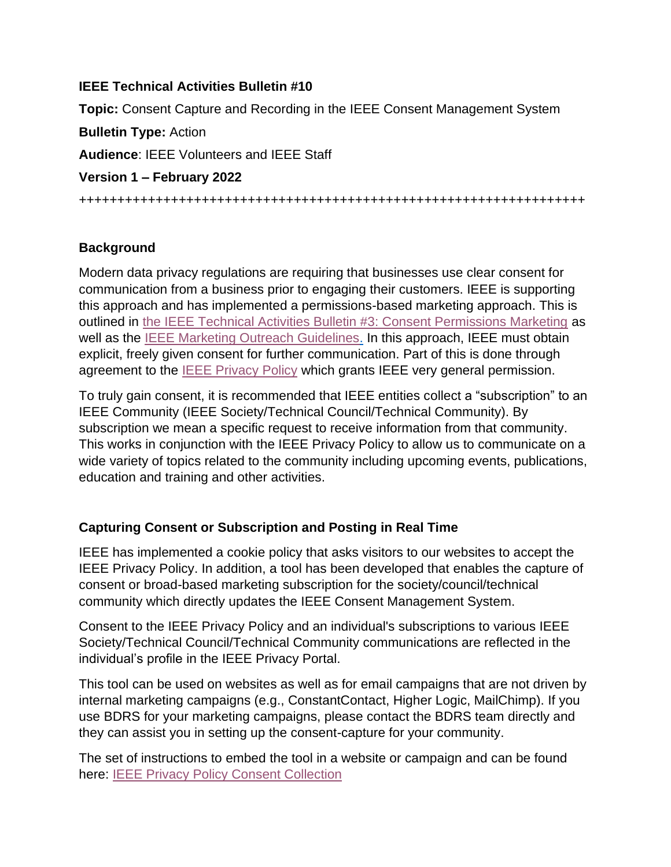### **IEEE Technical Activities Bulletin #10**

**Topic:** Consent Capture and Recording in the IEEE Consent Management System **Bulletin Type:** Action **Audience**: IEEE Volunteers and IEEE Staff **Version 1 – February 2022** ++++++++++++++++++++++++++++++++++++++++++++++++++++++++++++++++++

# **Background**

Modern data privacy regulations are requiring that businesses use clear consent for communication from a business prior to engaging their customers. IEEE is supporting this approach and has implemented a permissions-based marketing approach. This is outlined in [the IEEE Technical Activities Bulletin #3: Consent Permissions Marketing](https://ta.ieee.org/operations/technical-activities-data-privacy-resource-page/bulletin-3-gdpr-consent-permission-marketing) as well as the [IEEE Marketing Outreach Guidelines.](http://ieee.org/content/dam/ieee-org/ieee/web/org/outreach-guidelines.pdf) In this approach, IEEE must obtain explicit, freely given consent for further communication. Part of this is done through agreement to the [IEEE Privacy Policy](https://www.ieee.org/security-privacy.html) which grants IEEE very general permission.

To truly gain consent, it is recommended that IEEE entities collect a "subscription" to an IEEE Community (IEEE Society/Technical Council/Technical Community). By subscription we mean a specific request to receive information from that community. This works in conjunction with the IEEE Privacy Policy to allow us to communicate on a wide variety of topics related to the community including upcoming events, publications, education and training and other activities.

# **Capturing Consent or Subscription and Posting in Real Time**

IEEE has implemented a cookie policy that asks visitors to our websites to accept the IEEE Privacy Policy. In addition, a tool has been developed that enables the capture of consent or broad-based marketing subscription for the society/council/technical community which directly updates the IEEE Consent Management System.

Consent to the IEEE Privacy Policy and an individual's subscriptions to various IEEE Society/Technical Council/Technical Community communications are reflected in the individual's profile in the IEEE Privacy Portal.

This tool can be used on websites as well as for email campaigns that are not driven by internal marketing campaigns (e.g., ConstantContact, Higher Logic, MailChimp). If you use BDRS for your marketing campaigns, please contact the BDRS team directly and they can assist you in setting up the consent-capture for your community.

The set of instructions to embed the tool in a website or campaign and can be found here: [IEEE Privacy Policy Consent Collection](https://ta.ieee.org/images/files/operations/gdpr/ieee_website_campaign_consent_collection_instructions_final_oct_2019.pdf)